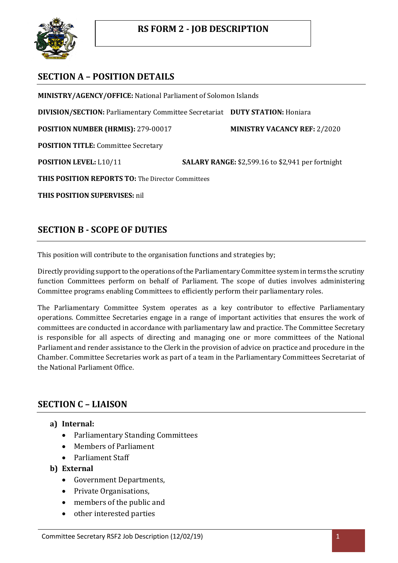

# **SECTION A – POSITION DETAILS**

**MINISTRY/AGENCY/OFFICE:** National Parliament of Solomon Islands **DIVISION/SECTION:** Parliamentary Committee Secretariat **DUTY STATION:** Honiara **POSITION NUMBER (HRMIS):** 279-00017 **MINISTRY VACANCY REF:** 2/2020 **POSITION TITLE:** Committee Secretary **POSITION LEVEL:** L10/11 **SALARY RANGE:** \$2,599.16 to \$2,941 per fortnight **THIS POSITION REPORTS TO:** The Director Committees

**THIS POSITION SUPERVISES:** nil

# **SECTION B - SCOPE OF DUTIES**

This position will contribute to the organisation functions and strategies by;

Directly providing support to the operations of the Parliamentary Committee system in terms the scrutiny function Committees perform on behalf of Parliament. The scope of duties involves administering Committee programs enabling Committees to efficiently perform their parliamentary roles.

The Parliamentary Committee System operates as a key contributor to effective Parliamentary operations. Committee Secretaries engage in a range of important activities that ensures the work of committees are conducted in accordance with parliamentary law and practice. The Committee Secretary is responsible for all aspects of directing and managing one or more committees of the National Parliament and render assistance to the Clerk in the provision of advice on practice and procedure in the Chamber. Committee Secretaries work as part of a team in the Parliamentary Committees Secretariat of the National Parliament Office.

## **SECTION C – LIAISON**

- **a) Internal:**
	- Parliamentary Standing Committees
	- Members of Parliament
	- Parliament Staff
- **b) External**
	- Government Departments,
	- Private Organisations,
	- members of the public and
	- other interested parties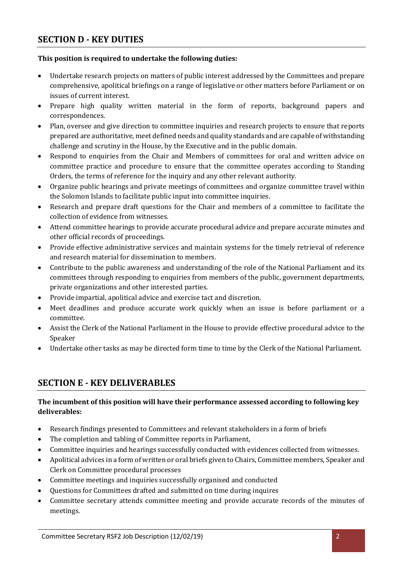## **SECTION D - KEY DUTIES**

#### **This position is required to undertake the following duties:**

- Undertake research projects on matters of public interest addressed by the Committees and prepare comprehensive, apolitical briefings on a range of legislative or other matters before Parliament or on issues of current interest.
- Prepare high quality written material in the form of reports, background papers and correspondences.
- Plan, oversee and give direction to committee inquiries and research projects to ensure that reports prepared are authoritative, meet defined needs and quality standards and are capable of withstanding challenge and scrutiny in the House, by the Executive and in the public domain.
- Respond to enquiries from the Chair and Members of committees for oral and written advice on committee practice and procedure to ensure that the committee operates according to Standing Orders, the terms of reference for the inquiry and any other relevant authority.
- Organize public hearings and private meetings of committees and organize committee travel within the Solomon Islands to facilitate public input into committee inquiries.
- Research and prepare draft questions for the Chair and members of a committee to facilitate the collection of evidence from witnesses.
- Attend committee hearings to provide accurate procedural advice and prepare accurate minutes and other official records of proceedings.
- Provide effective administrative services and maintain systems for the timely retrieval of reference and research material for dissemination to members.
- Contribute to the public awareness and understanding of the role of the National Parliament and its committees through responding to enquiries from members of the public, government departments, private organizations and other interested parties.
- Provide impartial, apolitical advice and exercise tact and discretion.
- Meet deadlines and produce accurate work quickly when an issue is before parliament or a committee.
- Assist the Clerk of the National Parliament in the House to provide effective procedural advice to the Speaker
- Undertake other tasks as may be directed form time to time by the Clerk of the National Parliament.

## **SECTION E - KEY DELIVERABLES**

#### **The incumbent of this position will have their performance assessed according to following key deliverables:**

- Research findings presented to Committees and relevant stakeholders in a form of briefs
- The completion and tabling of Committee reports in Parliament,
- Committee inquiries and hearings successfully conducted with evidences collected from witnesses.
- Apolitical advices in a form of written or oral briefs given to Chairs, Committee members, Speaker and Clerk on Committee procedural processes
- Committee meetings and inquiries successfully organised and conducted
- Questions for Committees drafted and submitted on time during inquires
- Committee secretary attends committee meeting and provide accurate records of the minutes of meetings.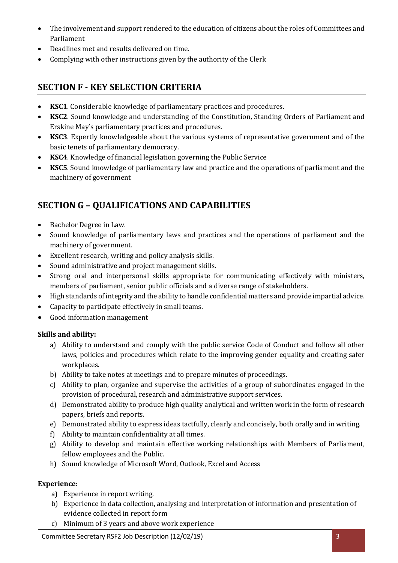- The involvement and support rendered to the education of citizens about the roles of Committees and Parliament
- Deadlines met and results delivered on time.
- Complying with other instructions given by the authority of the Clerk

# **SECTION F - KEY SELECTION CRITERIA**

- **KSC1**. Considerable knowledge of parliamentary practices and procedures.
- **KSC2**. Sound knowledge and understanding of the Constitution, Standing Orders of Parliament and Erskine May's parliamentary practices and procedures.
- **KSC3**. Expertly knowledgeable about the various systems of representative government and of the basic tenets of parliamentary democracy.
- **KSC4**. Knowledge of financial legislation governing the Public Service
- **KSC5**. Sound knowledge of parliamentary law and practice and the operations of parliament and the machinery of government

# **SECTION G – QUALIFICATIONS AND CAPABILITIES**

- Bachelor Degree in Law.
- Sound knowledge of parliamentary laws and practices and the operations of parliament and the machinery of government.
- Excellent research, writing and policy analysis skills.
- Sound administrative and project management skills.
- Strong oral and interpersonal skills appropriate for communicating effectively with ministers, members of parliament, senior public officials and a diverse range of stakeholders.
- High standards of integrity and the ability to handle confidential matters and provide impartial advice.
- Capacity to participate effectively in small teams.
- Good information management

#### **Skills and ability:**

- a) Ability to understand and comply with the public service Code of Conduct and follow all other laws, policies and procedures which relate to the improving gender equality and creating safer workplaces.
- b) Ability to take notes at meetings and to prepare minutes of proceedings.
- c) Ability to plan, organize and supervise the activities of a group of subordinates engaged in the provision of procedural, research and administrative support services.
- d) Demonstrated ability to produce high quality analytical and written work in the form of research papers, briefs and reports.
- e) Demonstrated ability to express ideas tactfully, clearly and concisely, both orally and in writing.
- f) Ability to maintain confidentiality at all times.
- g) Ability to develop and maintain effective working relationships with Members of Parliament, fellow employees and the Public.
- h) Sound knowledge of Microsoft Word, Outlook, Excel and Access

#### **Experience:**

- a) Experience in report writing.
- b) Experience in data collection, analysing and interpretation of information and presentation of evidence collected in report form
- c) Minimum of 3 years and above work experience